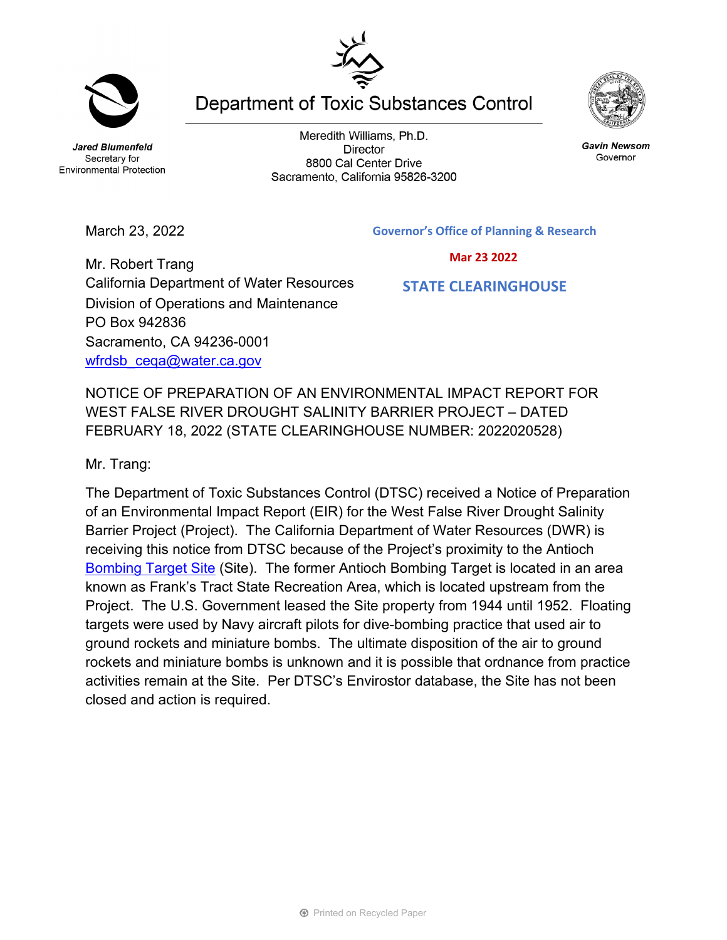**Jared Blumenfeld** Secretary for

Meredith Williams, Ph.D. **Director** 8800 Cal Center Drive Sacramento, California 95826-3200

**Department of Toxic Substances Control** 





California Department of Water Resources Division of Operations and Maintenance PO Box 942836 Sacramento, CA 94236-0001 wfrdsb ceqa@water.ca.gov

NOTICE OF PREPARATION OF AN ENVIRONMENTAL IMPACT REPORT FOR WEST FALSE RIVER DROUGHT SALINITY BARRIER PROJECT – DATED FEBRUARY 18, 2022 (STATE CLEARINGHOUSE NUMBER: 2022020528)

Mr. Trang:

The Department of Toxic Substances Control (DTSC) received a Notice of Preparation of an Environmental Impact Report (EIR) for the West False River Drought Salinity Barrier Project (Project). The California Department of Water Resources (DWR) is receiving this notice from DTSC because of the Project's proximity to the Antioch [Bombing Target Site](https://www.envirostor.dtsc.ca.gov/public/profile_report.asp?global_id=80000959) (Site). The former Antioch Bombing Target is located in an area known as Frank's Tract State Recreation Area, which is located upstream from the Project. The U.S. Government leased the Site property from 1944 until 1952. Floating targets were used by Navy aircraft pilots for dive-bombing practice that used air to ground rockets and miniature bombs. The ultimate disposition of the air to ground rockets and miniature bombs is unknown and it is possible that ordnance from practice activities remain at the Site. Per DTSC's Envirostor database, the Site has not been closed and action is required.



**Gavin Newsom** 

Governor



Environmental Protection

 **Mar 23 2022**

## **STATE CLEARINGHOUSE**